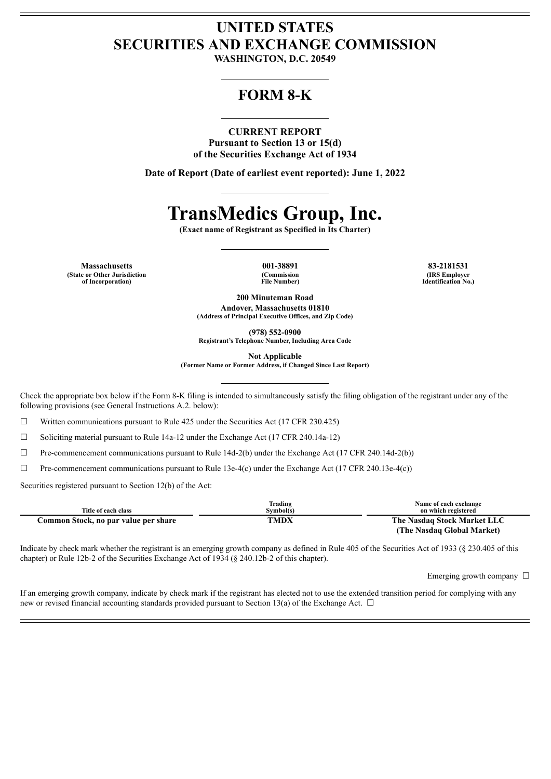## **UNITED STATES SECURITIES AND EXCHANGE COMMISSION**

**WASHINGTON, D.C. 20549**

### **FORM 8-K**

#### **CURRENT REPORT**

**Pursuant to Section 13 or 15(d) of the Securities Exchange Act of 1934**

**Date of Report (Date of earliest event reported): June 1, 2022**

# **TransMedics Group, Inc.**

**(Exact name of Registrant as Specified in Its Charter)**

**Massachusetts 001-38891 83-2181531 (State or Other Jurisdiction of Incorporation)**

**(Commission File Number)**

**(IRS Employer Identification No.)**

**200 Minuteman Road**

**Andover, Massachusetts 01810 (Address of Principal Executive Offices, and Zip Code)**

**(978) 552-0900**

**Registrant's Telephone Number, Including Area Code**

**Not Applicable**

**(Former Name or Former Address, if Changed Since Last Report)**

Check the appropriate box below if the Form 8-K filing is intended to simultaneously satisfy the filing obligation of the registrant under any of the following provisions (see General Instructions A.2. below):

 $\Box$  Written communications pursuant to Rule 425 under the Securities Act (17 CFR 230.425)

☐ Soliciting material pursuant to Rule 14a-12 under the Exchange Act (17 CFR 240.14a-12)

☐ Pre-commencement communications pursuant to Rule 14d-2(b) under the Exchange Act (17 CFR 240.14d-2(b))

 $\Box$  Pre-commencement communications pursuant to Rule 13e-4(c) under the Exchange Act (17 CFR 240.13e-4(c))

Securities registered pursuant to Section 12(b) of the Act:

|                                      | Trading   | Name of each exchange       |
|--------------------------------------|-----------|-----------------------------|
| Title of each class                  | Svmbol(s) | on which registered         |
| Common Stock, no par value per share | TMDX      | The Nasdaq Stock Market LLC |
|                                      |           | (The Nasdag Global Market)  |

Indicate by check mark whether the registrant is an emerging growth company as defined in Rule 405 of the Securities Act of 1933 (§ 230.405 of this chapter) or Rule 12b-2 of the Securities Exchange Act of 1934 (§ 240.12b-2 of this chapter).

Emerging growth company  $\Box$ 

If an emerging growth company, indicate by check mark if the registrant has elected not to use the extended transition period for complying with any new or revised financial accounting standards provided pursuant to Section 13(a) of the Exchange Act. □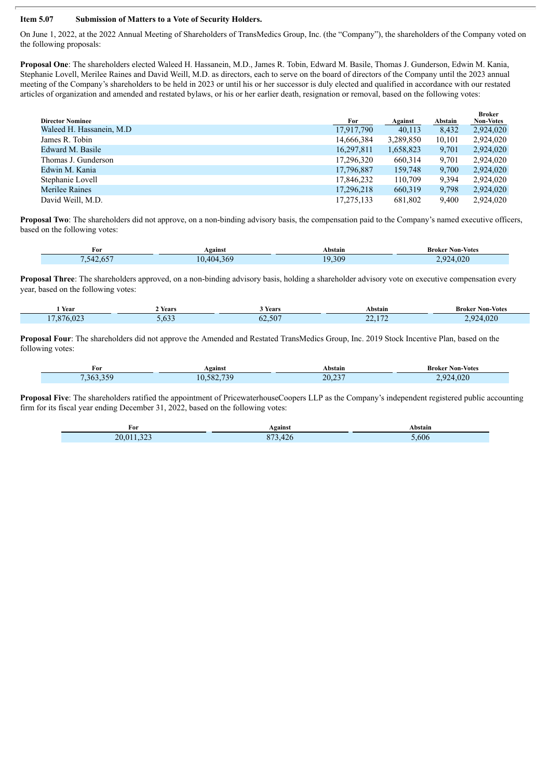#### **Item 5.07 Submission of Matters to a Vote of Security Holders.**

On June 1, 2022, at the 2022 Annual Meeting of Shareholders of TransMedics Group, Inc. (the "Company"), the shareholders of the Company voted on the following proposals:

**Proposal One**: The shareholders elected Waleed H. Hassanein, M.D., James R. Tobin, Edward M. Basile, Thomas J. Gunderson, Edwin M. Kania, Stephanie Lovell, Merilee Raines and David Weill, M.D. as directors, each to serve on the board of directors of the Company until the 2023 annual meeting of the Company's shareholders to be held in 2023 or until his or her successor is duly elected and qualified in accordance with our restated articles of organization and amended and restated bylaws, or his or her earlier death, resignation or removal, based on the following votes:

| <b>Director Nominee</b>   | For        | Against   | Abstain | <b>Broker</b><br><b>Non-Votes</b> |
|---------------------------|------------|-----------|---------|-----------------------------------|
| Waleed H. Hassanein, M.D. | 17,917,790 | 40,113    | 8,432   | 2,924,020                         |
| James R. Tobin            | 14,666,384 | 3,289,850 | 10,101  | 2,924,020                         |
| Edward M. Basile          | 16,297,811 | 1,658,823 | 9,701   | 2,924,020                         |
| Thomas J. Gunderson       | 17,296,320 | 660,314   | 9,701   | 2,924,020                         |
| Edwin M. Kania            | 17,796,887 | 159,748   | 9,700   | 2,924,020                         |
| Stephanie Lovell          | 17,846,232 | 110,709   | 9,394   | 2,924,020                         |
| Merilee Raines            | 17,296,218 | 660,319   | 9,798   | 2,924,020                         |
| David Weill, M.D.         | 17,275,133 | 681,802   | 9.400   | 2.924.020                         |

**Proposal Two**: The shareholders did not approve, on a non-binding advisory basis, the compensation paid to the Company's named executive officers, based on the following votes:

| $\sim$<br>For                    | Against    | bstain      | Non-Votes<br>Broker         |
|----------------------------------|------------|-------------|-----------------------------|
| ___<br>54.<br>. .<br>.<br>$\sim$ | $\epsilon$ | 309<br>.JV. | $\wedge$ $\wedge$<br>$\sim$ |

**Proposal Three**: The shareholders approved, on a non-binding advisory basis, holding a shareholder advisory vote on executive compensation every year, based on the following votes:

| $\overline{\phantom{a}}$<br>Year                                                                                                                     | . .<br>Years  | Years  | Abstain                                                                | Broker<br>Non-Votes |
|------------------------------------------------------------------------------------------------------------------------------------------------------|---------------|--------|------------------------------------------------------------------------|---------------------|
| 1.7.07<br>$\sqrt{2}$<br>X/F<br><b>Contract Contract Contract Contract Contract Contract Contract Contract Contract Contract Contract Contract Co</b> | $\sim$ $\sim$ | 62.507 | $\sim$ $\sim$ $\sim$<br>$\sim$<br>.<br>.<br>. .<br>and the contract of | .020<br>. .         |

**Proposal Four**: The shareholders did not approve the Amended and Restated TransMedics Group, Inc. 2019 Stock Incentive Plan, based on the following votes:

| For             | Against           | Abstain                                     | <b>Broker Non-Votes</b> |
|-----------------|-------------------|---------------------------------------------|-------------------------|
| 3h <sup>2</sup> | 73C<br>:o∩<br>ъχ. | $\mathbf{A} \mathbf{A} \mathbf{B}$<br>20,23 | 020<br>u<br>.vzu        |

**Proposal Five**: The shareholders ratified the appointment of PricewaterhouseCoopers LLP as the Company's independent registered public accounting firm for its fiscal year ending December 31, 2022, based on the following votes:

| For                     | Against                       | Abstain |
|-------------------------|-------------------------------|---------|
| $\sim$ $\sim$<br>20,011 | $\sim$<br>0.72<br>.420<br>0/5 | 5,606   |